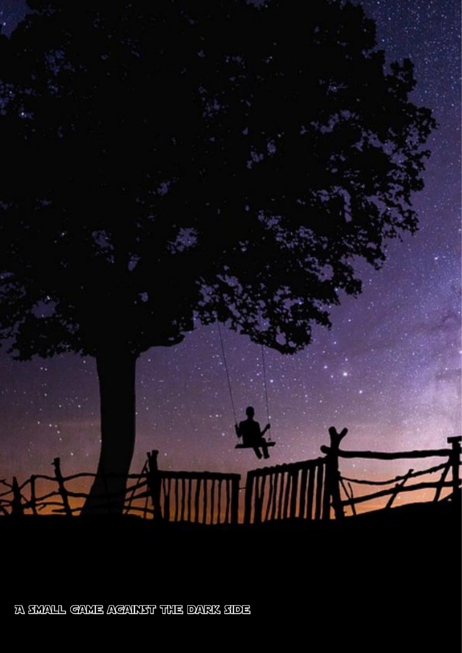

**A SWALL GAME AGAINST THE DARK SIDE**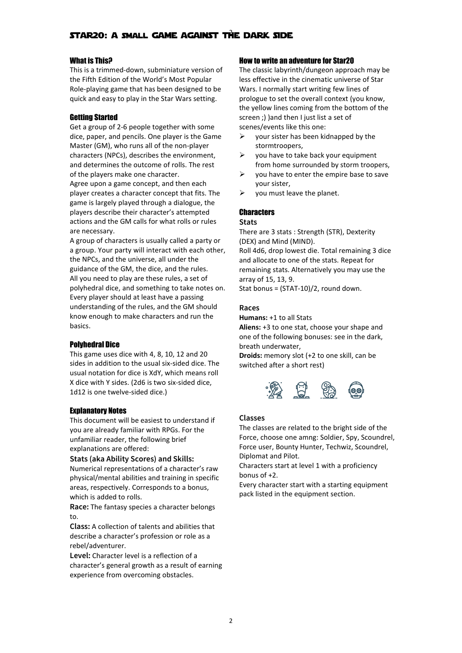# What is This?

This is a trimmed-down, subminiature version of the Fifth Edition of the World's Most Popular Role-playing game that has been designed to be quick and easy to play in the Star Wars setting.

# Getting Started

Get a group of 2-6 people together with some dice, paper, and pencils. One player is the Game  $\triangleright$ Master (GM), who runs all of the non-player characters (NPCs), describes the environment,  $\triangleright$ and determines the outcome of rolls. The rest of the players make one character. Agree upon a game concept, and then each player creates a character concept that fits. The  $\triangleright$ game is largely played through a dialogue, the players describe their character's attempted actions and the GM calls for what rolls or rules are necessary.

A group of characters is usually called a party or a group. Your party will interact with each other, the NPCs, and the universe, all under the guidance of the GM, the dice, and the rules. All you need to play are these rules, a set of polyhedral dice, and something to take notes on. Every player should at least have a passing understanding of the rules, and the GM should know enough to make characters and run the basics.

# Polyhedral Dice

This game uses dice with 4, 8, 10, 12 and 20 sides in addition to the usual six-sided dice. The usual notation for dice is XdY, which means roll X dice with Y sides. (2d6 is two six-sided dice,<br>1d12 is one twelve-sided dice.)  $\begin{pmatrix} 0 & 0 \\ 0 & 1 \end{pmatrix}$ 1d12 is one twelve-sided dice.)

# Explanatory Notes

This document will be easiest to understand if you are already familiar with RPGs. For the unfamiliar reader, the following brief explanations are offered:

#### **Stats (aka Ability Scores) and Skills:**

Numerical representations of a character's raw physical/mental abilities and training in specific areas, respectively. Corresponds to a bonus, which is added to rolls.

**Race:** The fantasy species a character belongs to.

**Class:** A collection of talents and abilities that describe a character's profession or role as a rebel/adventurer.

**Level:** Character level is a reflection of a character's general growth as a result of earning experience from overcoming obstacles.

# How to write an adventure for Star20

The classic labyrinth/dungeon approach may be less effective in the cinematic universe of Star Wars. I normally start writing few lines of prologue to set the overall context (you know, the yellow lines coming from the bottom of the screen :) ) and then I just list a set of scenes/events like this one:

- your sister has been kidnapped by the stormtroopers,
- you have to take back your equipment from home surrounded by storm troopers,
- $\triangleright$  you have to enter the empire base to save your sister,
- you must leave the planet.

# **Characters**

#### **Stats**

There are 3 stats: Strength (STR), Dexterity (DEX) and Mind (MIND).

Roll 4d6, drop lowest die. Total remaining 3 dice and allocate to one of the stats. Repeat for remaining stats. Alternatively you may use the array of 15, 13, 9.

Stat bonus = (STAT-10)/2, round down.

## **Races**

**Humans:** +1 to all Stats

Aliens: +3 to one stat, choose your shape and one of the following bonuses: see in the dark, breath underwater,

**Droids:** memory slot (+2 to one skill, can be switched after a short rest)



#### **Classes**

The classes are related to the bright side of the Force, choose one amng: Soldier, Spy, Scoundrel, Force user, Bounty Hunter, Techwiz, Scoundrel, Diplomat and Pilot.

Characters start at level 1 with a proficiency bonus of +2.

Every character start with a starting equipment pack listed in the equipment section.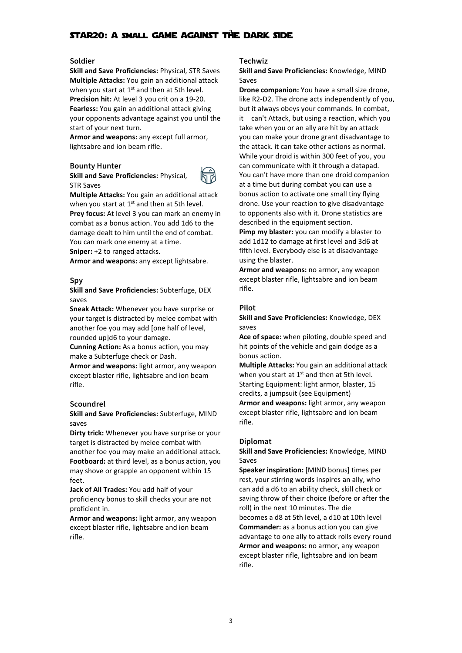# **Soldier**

**Skill and Save Proficiencies:** Physical, STR Saves **Multiple Attacks:** You gain an additional attack when you start at  $1^{st}$  and then at 5th level.  $\blacksquare$  Drone **Precision hit:** At level 3 you crit on a 19-20. **Fearless:** You gain an additional attack giving your opponents advantage against you until the start of your next turn.

**Armor and weapons:** any except full armor, lightsabre and ion beam rifle.

# **Bounty Hunter**

**Skill and Save Proficiencies:** Physical, STR Saves



**Multiple Attacks:** You gain an additional attack when you start at  $1^{st}$  and then at 5th level.  $\qquad \qquad$  drone. **Prey focus:** At level 3 you can mark an enemy in combat as a bonus action. You add 1d6 to the damage dealt to him until the end of combat. You can mark one enemy at a time. **Sniper:** +2 to ranged attacks.

**Armor and weapons:** any except lightsabre.

## **Spy**

**Skill and Save Proficiencies:** Subterfuge, DEX saves

**Sneak Attack:** Whenever you have surprise or your target is distracted by melee combat with another foe you may add [one half of level, rounded up]d6 to your damage.

**Cunning Action:** As a bonus action, you may make a Subterfuge check or Dash.

**Armor and weapons:** light armor, any weapon except blaster rifle, lightsabre and ion beam rifle.

# **Scoundrel**

**Skill and Save Proficiencies:** Subterfuge, MIND saves

**Dirty trick:** Whenever you have surprise or your target is distracted by melee combat with another foe you may make an additional attack. **Footboard:** at third level, as a bonus action, you may shove or grapple an opponent within 15 feet.

**Jack of All Trades:** You add half of your proficiency bonus to skill checks your are not proficient in.

**Armor and weapons:** light armor, any weapon except blaster rifle, lightsabre and ion beam rifle.

#### **Techwiz**

**Skill and Save Proficiencies:** Knowledge, MIND Saves

**Drone companion:** You have a small size drone, like R2-D2. The drone acts independently of you, but it always obeys your commands. In combat, it can't Attack, but using a reaction, which you take when you or an ally are hit by an attack you can make your drone grant disadvantage to the attack. it can take other actions as normal. While your droid is within 300 feet of you, you can communicate with it through a datapad. You can't have more than one droid companion at a time but during combat you can use a bonus action to activate one small tiny flying drone. Use your reaction to give disadvantage to opponents also with it. Drone statistics are described in the equipment section.

**Pimp my blaster:** you can modify a blaster to add 1d12 to damage at first level and 3d6 at fifth level. Everybody else is at disadvantage using the blaster.

**Armor and weapons:** no armor, any weapon except blaster rifle, lightsabre and ion beam rifle.

#### **Pilot**

**Skill and Save Proficiencies:** Knowledge, DEX saves

**Ace of space:** when piloting, double speed and hit points of the vehicle and gain dodge as a bonus action.

**Multiple Attacks:** You gain an additional attack when you start at 1<sup>st</sup> and then at 5th level. Starting Equipment: light armor, blaster, 15 credits, a jumpsuit (see Equipment) **Armor and weapons:** light armor, any weapon except blaster rifle, lightsabre and ion beam rifle.

#### **Diplomat**

# **Skill and Save Proficiencies:** Knowledge, MIND Saves

**Speaker inspiration:** [MIND bonus] times per rest, your stirring words inspires an ally, who can add a d6 to an ability check, skill check or saving throw of their choice (before or after the roll) in the next 10 minutes. The die becomes a d8 at 5th level, a d10 at 10th level **Commander:** as a bonus action you can give advantage to one ally to attack rolls every round **Armor and weapons:** no armor, any weapon except blaster rifle, lightsabre and ion beam rifle.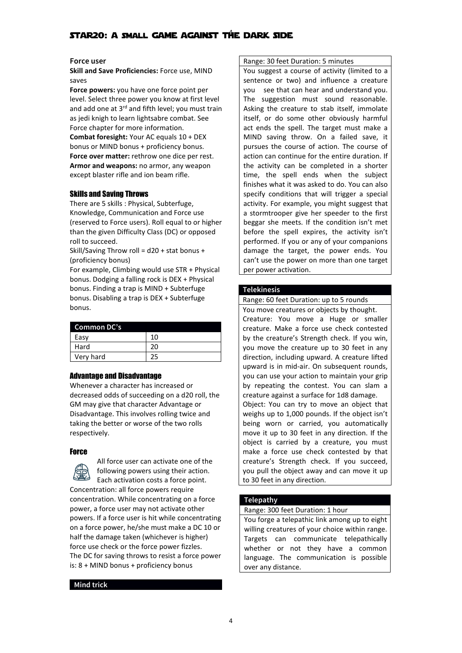# **Force user**

**Skill and Save Proficiencies:** Force use, MIND saves

**Force powers:** you have one force point per level. Select three power you know at first level and add one at  $3^{rd}$  and fifth level; you must train  $\left| \right|$  Asking the creatu as jedi knigh to learn lightsabre combat. See Force chapter for more information. **Combat foresight:** Your AC equals 10 + DEX bonus or MIND bonus + proficiency bonus. **Force over matter:** rethrow one dice per rest. **Armor and weapons:** no armor, any weapon except blaster rifle and ion beam rifle.

# Skills and Saving Throws

There are 5 skills: Physical, Subterfuge, Knowledge, Communication and Force use (reserved to Force users). Roll equal to or higher than the given Difficulty Class (DC) or opposed roll to succeed.

Skill/Saving Throw roll = d20 + stat bonus + (proficiency bonus)

For example, Climbing would use STR + Physical bonus. Dodging a falling rock is DEX + Physical bonus. Finding a trap is MIND + Subterfuge bonus. Disabling a trap is DEX + Subterfuge bonus.

# **Common DC's**

| Easy      | 10 |  |
|-----------|----|--|
| Hard      |    |  |
| Very hard |    |  |

# Advantage and Disadvantage

Whenever a character has increased or decreased odds of succeeding on a d20 roll, the GM may give that character Advantage or Disadvantage. This involves rolling twice and taking the better or worse of the two rolls respectively.

# **Force**

All force user can activate one of the following powers using their action. Each activation costs a force point. Concentration: all force powers require concentration. While concentrating on a force power, a force user may not activate other powers. If a force user is hit while concentrating on a force power, he/she must make a DC 10 or half the damage taken (whichever is higher) force use check or the force power fizzles. The DC for saving throws to resist a force power is: 8 + MIND bonus + proficiency bonus

#### **Mind trick**

Range: 30 feet Duration: 5 minutes

You suggest a course of activity (limited to a sentence or two) and influence a creature you see that can hear and understand you. The suggestion must sound reasonable. Asking the creature to stab itself, immolate itself, or do some other obviously harmful act ends the spell. The target must make a MIND saving throw. On a failed save, it pursues the course of action. The course of action can continue for the entire duration. If the activity can be completed in a shorter time, the spell ends when the subject finishes what it was asked to do. You can also specify conditions that will trigger a special activity. For example, you might suggest that a stormtrooper give her speeder to the first beggar she meets. If the condition isn't met before the spell expires, the activity isn't performed. If you or any of your companions damage the target, the power ends. You can't use the power on more than one target per power activation.

# **Telekinesis**

Range: 60 feet Duration: up to 5 rounds

You move creatures or objects by thought.<br>Creature: You move a Huge or smaller creature. Make a force use check contested by the creature's Strength check. If you win, you move the creature up to 30 feet in any direction, including upward. A creature lifted upward is in mid-air. On subsequent rounds, you can use your action to maintain your grip by repeating the contest. You can slam a creature against a surface for 1d8 damage. Object: You can try to move an object that weighs up to 1,000 pounds. If the object isn't being worn or carried, you automatically move it up to 30 feet in any direction. If the object is carried by a creature, you must make a force use check contested by that creature's Strength check. If you succeed, you pull the object away and can move it up to 30 feet in any direction.

# **Telepathy**

#### Range: 300 feet Duration: 1 hour

You forge a telepathic link among up to eight willing creatures of your choice within range. Targets can communicate telepathically whether or not they have a common language. The communication is possible over any distance.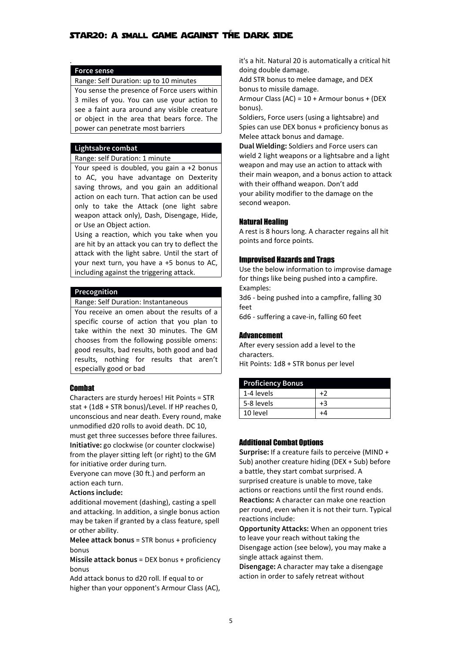# . **Force sense**

# Range: Self Duration: up to 10 minutes

You sense the presence of Force users within 3 miles of you. You can use your action to see a faint aura around any visible creature or object in the area that bears force. The power can penetrate most barriers

# **Lightsabre combat**

#### Range: self Duration: 1 minute

Your speed is doubled, you gain a +2 bonus to AC, you have advantage on Dexterity saving throws, and you gain an additional action on each turn. That action can be used only to take the Attack (one light sabre weapon attack only), Dash, Disengage, Hide, or Use an Object action.

Using a reaction, which you take when you are hit by an attack you can try to deflect the attack with the light sabre. Until the start of your next turn, you have a +5 bonus to AC, including against the triggering attack.

# **Precognition**

#### Range: Self Duration: Instantaneous

You receive an omen about the results of a specific course of action that you plan to take within the next 30 minutes. The GM chooses from the following possible omens: good results, bad results, both good and bad results, nothing for results that aren't especially good or bad

# Combat

Characters are sturdy heroes! Hit Points = STR stat + (1d8 + STR bonus)/Level. If HP reaches 0, unconscious and near death. Every round, make unmodified d20 rolls to avoid death. DC 10, must get three successes before three failures. **Initiative:** go clockwise (or counter clockwise) from the player sitting left (or right) to the GM for initiative order during turn.

Everyone can move (30 ft.) and perform an action each turn.

# **Actions include:**

additional movement (dashing), casting a spell and attacking. In addition, a single bonus action may be taken if granted by a class feature, spell or other ability.

**Melee attack bonus** = STR bonus + proficiency bonus

**Missile attack bonus** = DEX bonus + proficiency bonus

Add attack bonus to d20 roll. If equal to or higher than your opponent's Armour Class (AC), it's a hit. Natural 20 is automatically a critical hit doing double damage.

Add STR bonus to melee damage, and DEX bonus to missile damage.

Armour Class (AC) = 10 + Armour bonus + (DEX bonus).

Soldiers, Force users (using a lightsabre) and Spies can use DEX bonus + proficiency bonus as Melee attack bonus and damage.

**Dual Wielding:** Soldiers and Force users can wield 2 light weapons or a lightsabre and a light weapon and may use an action to attack with their main weapon, and a bonus action to attack with their offhand weapon. Don't add your ability modifier to the damage on the second weapon.

# Natural Healing

A rest is 8 hours long. A character regains all hit points and force points.

## Improvised Hazards and Traps

Use the below information to improvise damage for things like being pushed into a campfire. Examples:

3d6 - being pushed into a campfire, falling 30 feet

6d6 - suffering a cave-in, falling 60 feet

# Advancement

After every session add a level to the characters. Hit Points: 1d8 + STR bonus per level

# **Proficiency Bonus** 1-4 levels  $\vert +2 \vert$  $5-8$  levels  $+3$ 10 level +4

# Additional Combat Options

**Surprise:** If a creature fails to perceive (MIND + Sub) another creature hiding (DEX + Sub) before a battle, they start combat surprised. A surprised creature is unable to move, take actions or reactions until the first round ends. **Reactions:** A character can make one reaction per round, even when it is not their turn. Typical reactions include:

**Opportunity Attacks:** When an opponent tries to leave your reach without taking the Disengage action (see below), you may make a single attack against them.

**Disengage:** A character may take a disengage action in order to safely retreat without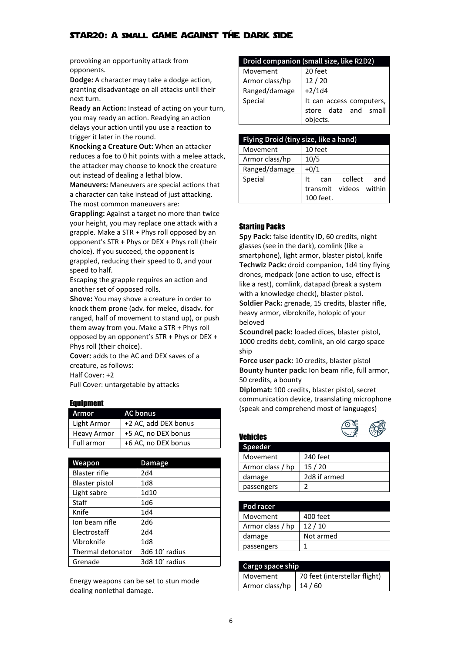provoking an opportunity attack from opponents.

**Dodge:** A character may take a dodge action, granting disadvantage on all attacks until their next turn.

**Ready an Action:** Instead of acting on your turn, you may ready an action. Readying an action delays your action until you use a reaction to trigger it later in the round.

**Knocking a Creature Out:** When an attacker reduces a foe to 0 hit points with a melee attack, the attacker may choose to knock the creature out instead of dealing a lethal blow.

**Maneuvers:** Maneuvers are special actions that a character can take instead of just attacking. The most common maneuvers are:

**Grappling:** Against a target no more than twice your height, you may replace one attack with a grapple. Make a STR + Phys roll opposed by an opponent's  $STR + Phys$  or DEX + Phys roll (their choice). If you succeed, the opponent is grappled, reducing their speed to 0, and your speed to half.

Escaping the grapple requires an action and another set of opposed rolls.

**Shove:** You may shove a creature in order to knock them prone (adv. for melee, disadv. for ranged, half of movement to stand up), or push them away from you. Make a  $STR + Phys$  roll opposed by an opponent's  $STR + Phys$  or DEX + Phys roll (their choice).

**Cover:** adds to the AC and DEX saves of a creature, as follows: Half Cover: +2

Full Cover: untargetable by attacks

# Equipment

| Armor       | <b>AC bonus</b>      | (SDE |
|-------------|----------------------|------|
| Light Armor | +2 AC, add DEX bonus |      |
| Heavy Armor | +5 AC, no DEX bonus  | Veh  |
| Full armor  | +6 AC, no DEX bonus  |      |

| Weapon               | <b>Damage</b>   |  |
|----------------------|-----------------|--|
| <b>Blaster rifle</b> | 2d4             |  |
| Blaster pistol       | 1d8             |  |
| Light sabre          | 1d10            |  |
| Staff                | 1d6             |  |
| Knife                | 1 <sub>d4</sub> |  |
| Ion beam rifle       | 2d <sub>6</sub> |  |
| Electrostaff         | 2d4             |  |
| Vibroknife           | 1 <sub>d8</sub> |  |
| Thermal detonator    | 3d6 10' radius  |  |
| Grenade              | 3d8 10' radius  |  |

Energy weapons can be set to stun mode dealing nonlethal damage.

| Droid companion (small size, like R2D2) |                                                              |  |
|-----------------------------------------|--------------------------------------------------------------|--|
| Movement                                | 20 feet                                                      |  |
| Armor class/hp                          | 12/20                                                        |  |
| Ranged/damage                           | $+2/1d4$                                                     |  |
| Special                                 | It can access computers,<br>store data and small<br>objects. |  |

| Flying Droid (tiny size, like a hand) |                                                          |  |
|---------------------------------------|----------------------------------------------------------|--|
| Movement                              | 10 feet                                                  |  |
| Armor class/hp                        | 10/5                                                     |  |
| Ranged/damage                         | $+0/1$                                                   |  |
| Special                               | collect<br>and<br>It<br>can<br>within<br>transmit videos |  |
|                                       | 100 feet.                                                |  |

# Starting Packs

Vehicles

**Spy Pack:** false identity ID,60 credits, night glasses (see in the dark), comlink (like a smartphone), light armor, blaster pistol, knife **Techwiz Pack:** droid companion, 1d4 tiny flying drones, medpack (one action to use, effect is like a rest), comlink, datapad (break a system with a knowledge check), blaster pistol.

**Soldier Pack:** grenade, 15 credits, blaster rifle, heavy armor, vibroknife, holopic of your beloved

**Scoundrel pack:** loaded dices, blaster pistol, 1000 credits debt, comlink, an old cargo space ship

**Force user pack:** 10 credits, blaster pistol **Bounty hunter pack:** Ion beam rifle, full armor, 50 credits, a bounty

**Diplomat:** 100 credits, blaster pistol, secret communication device, traanslating microphone (speak and comprehend most of languages)



| . v v. v.        |              |
|------------------|--------------|
| Speeder          |              |
| Movement         | 240 feet     |
| Armor class / hp | 15/20        |
| damage           | 2d8 if armed |
| passengers       |              |

| Pod racer        |           |
|------------------|-----------|
| Movement         | 400 feet  |
| Armor class / hp | 12/10     |
| damage           | Not armed |
| passengers       |           |

| Cargo space ship |                               |
|------------------|-------------------------------|
| Movement         | 70 feet (interstellar flight) |
| Armor class/hp   | 14 / 60                       |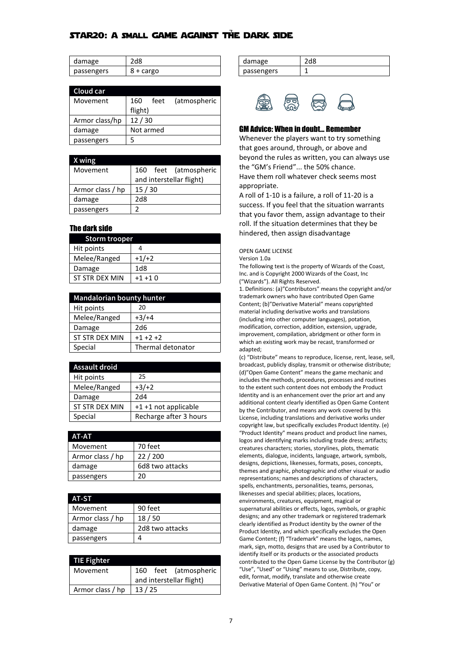| damage     |           |
|------------|-----------|
| passengers | 8 + cargo |

| Cloud car      |                             |                     |
|----------------|-----------------------------|---------------------|
| Movement       | (atmospheric<br>feet<br>160 |                     |
|                | flight)                     |                     |
| Armor class/hp | 12/30                       |                     |
| damage         | Not armed                   | <b>GM Advice: V</b> |
| passengers     | 5                           | Whenever th         |

#### **X wing**

| Movement         | feet (atmospheric<br>160 | the "GM's Fr                           |
|------------------|--------------------------|----------------------------------------|
|                  | and interstellar flight) | Have them r                            |
| Armor class / hp | 15/30                    | appropriate.                           |
| damage           | 2d8                      | A roll of 1-10                         |
| passengers       |                          | success. If yo<br>ala a a construction |

# The dark side

| <b>Storm trooper</b> |                 |
|----------------------|-----------------|
| Hit points           |                 |
| Melee/Ranged         | $+1/+2$         |
| Damage               | 1 <sub>dB</sub> |
| ST STR DFX MIN       | $+1 + 10$       |

| <b>Mandalorian bounty hunter</b> |                   | tra      |
|----------------------------------|-------------------|----------|
| Hit points                       | 20                | Co<br>m  |
| Melee/Ranged                     | $+3/+4$           | (in      |
| Damage                           | 2d6               | m        |
| ST STR DEX MIN                   | $+1 +2 +2$        | im<br>wł |
| Special                          | Thermal detonator | ad       |

| <b>Assault droid</b> |                        |
|----------------------|------------------------|
| Hit points           | 25                     |
| Melee/Ranged         | $+3/+2$                |
| Damage               | 2d4                    |
| ST STR DEX MIN       | +1 +1 not applicable   |
| Special              | Recharge after 3 hours |

| <b>AT-AT</b>     |                 |  |
|------------------|-----------------|--|
| Movement         | 70 feet         |  |
| Armor class / hp | 22/200          |  |
| damage           | 6d8 two attacks |  |
| passengers       | 20.             |  |

| AT-ST            |                 |  |
|------------------|-----------------|--|
| Movement         | 90 feet         |  |
| Armor class / hp | 18/50           |  |
| damage           | 2d8 two attacks |  |
| passengers       |                 |  |

| <b>TIE Fighter</b> |                          | iaei<br>con |
|--------------------|--------------------------|-------------|
| Movement           | 160 feet (atmospheric    | "Us         |
|                    | and interstellar flight) | edit<br>Der |
| Armor class / hp   | 13/25                    |             |

| damage     |  |
|------------|--|
| passengers |  |



# GM Advice: When in doubt... Remember

Whenever the players want to try something that goes around, through, or above and beyond the rules as written, you can always use the "GM's Friend"... the 50% chance. Have them roll whatever check seems most appropriate.

A roll of 1-10 is a failure, a roll of 11-20 is a success. If you feel that the situation warrants that you favor them, assign advantage to their roll. If the situation determines that they be hindered, then assign disadvantage

OPEN GAME LICENSE

Version 1.0a

The following text is the property of Wizards of the Coast, Inc. and is Copyright 2000 Wizards of the Coast, Inc ("Wizards"). All Rights Reserved.

1. Definitions: (a)"Contributors" means the copyright and/or trademark owners who have contributed Open Game Content; (b)"Derivative Material" means copyrighted material including derivative works and translations (including into other computer languages), potation, modification, correction, addition, extension, upgrade, improvement, compilation, abridgment or other form in which an existing work may be recast, transformed or adapted;

ST STR DEX MIN  $+1 +1$  not applicable<br>by the Contributor, and means any work covered by this Special **Recharge after 3 hours** License, including translations and derivative works under Movement 160 feet (atmospheric | "Use", "Used" or "Using" means to use, Distribute, copy, (c) "Distribute" means to reproduce, license, rent, lease, sell, broadcast, publicly display, transmit or otherwise distribute; (d)"Open Game Content" means the game mechanic and includes the methods, procedures, processes and routines to the extent such content does not embody the Product Identity and is an enhancement over the prior art and any additional content clearly identified as Open Game Content copyright law, but specifically excludes Product Identity. (e) "Product Identity" means product and product line names, logos and identifying marks including trade dress; artifacts; creatures characters; stories, storylines, plots, thematic elements, dialogue, incidents, language, artwork, symbols, designs, depictions, likenesses, formats, poses, concepts, themes and graphic, photographic and other visual or audio representations; names and descriptions of characters, spells, enchantments, personalities, teams, personas, likenesses and special abilities; places, locations, environments, creatures, equipment, magical or supernatural abilities or effects, logos, symbols, or graphic designs; and any other trademark or registered trademark clearly identified as Product identity by the owner of the Product Identity, and which specifically excludes the Open Game Content; (f) "Trademark" means the logos, names, mark, sign, motto, designs that are used by a Contributor to identify itself or its products or the associated products contributed to the Open Game License by the Contributor (g) edit, format, modify, translate and otherwise create Derivative Material of Open Game Content. (h) "You" or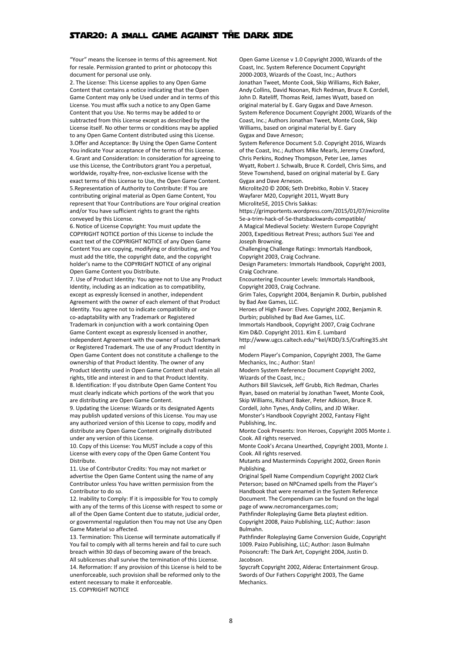"Your" means the licensee in termsof this agreement. Not for resale. Permission granted to print or photocopy this document for personal use only.

2. The License: This License applies to any Open Game Content that contains a notice indicating that the Open Game Content may only be Used under and in terms of this License. You must affix such a notice to any Open Game Content that you Use. No terms may be added to or subtracted from this License except as described by the License itself. No other terms or conditions may be applied to any Open Game Content distributed using this License. 3.Offer and Acceptance: By Using the Open Game Content You indicate Your acceptance of the terms of this License. 4. Grant and Consideration: In consideration for agreeing to use this License, the Contributors grant You a perpetual, worldwide, royalty-free, non-exclusive license with the exact terms of this License to Use, the Open Game Content. 5. Representation of Authority to Contribute: If You are contributing original material as Open Game Content, You represent that Your Contributions are Your original creation and/or You have sufficient rights to grant the rights conveyed by this License.

6. Notice of License Copyright: You must update the COPYRIGHT NOTICE portion of this License to include the exact text of the COPYRIGHT NOTICE of any Open Game Content You are copying, modifying or distributing, and You must add the title, the copyright date, and the copyright holder's name to the COPYRIGHT NOTICE of any original Open Game Content you Distribute.

7. Use of Product Identity: You agree not to Use any Product Identity, including as an indication as to compatibility, except as expressly licensed in another, independent Agreement with the owner of each element of that Product Identity. You agree not to indicate compatibility or co-adaptability with any Trademark or Registered Trademark in conjunction with a work containing Open Game Content except as expressly licensed in another, independent Agreement with the owner of such Trademark or Registered Trademark. The use of any Product Identity in Open Game Content does not constitute a challenge to the ownership of that Product Identity. The owner of any Product Identity used in Open Game Content shall retain all rights, title and interest in and to that Product Identity. 8. Identification: If you distribute Open Game Content You must clearly indicate which portions of the work that you are distributing are Open Game Content.

9. Updating the License: Wizards or its designated Agents may publish updated versions of this License. You may use any authorized version of this License to copy, modify and distribute any Open Game Content originally distributed under any version of this License.

10. Copy of this License: You MUST include a copy of this License with every copy of the Open Game Content You Distribute.

11. Use of Contributor Credits: You may not market or advertise the Open Game Content using the name of any Contributor unless You have written permission from the Contributor to do so.

12. Inability to Comply: If it is impossible for You to comply with any of the terms of this License with respect to some or all of the Open Game Content due to statute, judicial order, or governmental regulation then You may not Use any Open Game Material so affected.

13. Termination: This License will terminate automatically if You fail to comply with all terms herein and fail to cure such breach within 30 days of becoming aware of the breach. All sublicenses shall survive the termination of this License. 14. Reformation: If any provision of this License is held to be unenforceable, such provision shall be reformed only to the extent necessary to make it enforceable. 15. COPYRIGHT NOTICE

Open Game License v 1.0 Copyright 2000, Wizards of the Coast, Inc. System Reference Document Copyright 2000-2003, Wizards of the Coast, Inc.; Authors Jonathan Tweet, Monte Cook, Skip Williams, Rich Baker, Andy Collins, David Noonan, Rich Redman, Bruce R. Cordell, John D. Rateliff, Thomas Reid, James Wyatt, based on original material by E. Gary Gygax and Dave Arneson. System Reference Document Copyright 2000, Wizards of the Coast, Inc.; Authors Jonathan Tweet, Monte Cook, Skip Williams, based on original material by E. Gary Gygax and Dave Arneson;

System Reference Document 5.0. Copyright 2016, Wizards of the Coast, Inc.; Authors Mike Mearls, Jeremy Crawford, Chris Perkins, Rodney Thompson, Peter Lee, James Wyatt, Robert J. Schwalb, Bruce R. Cordell, Chris Sims, and Steve Townshend, based on original material by E. Gary Gygax and Dave Arneson.

Microlite20 © 2006; Seth Drebitko, Robin V. Stacey Wayfarer M20, Copyright 2011, Wyatt Bury Microlite5E, 2015 Chris Sakkas:

https://grimportents.wordpress.com/2015/01/07/microlite 5e-a-trim-hack-of-5e-thatsbackwards-compatible/ A Magical Medieval Society: Western Europe Copyright 2003, Expeditious Retreat Press; authors Suzi Yee and Joseph Browning.

Challenging Challenge Ratings: Immortals Handbook, Copyright 2003, Craig Cochrane.

Design Parameters: Immortals Handbook, Copyright 2003, Craig Cochrane.

Encountering Encounter Levels: Immortals Handbook, Copyright 2003, Craig Cochrane.

Grim Tales, Copyright 2004, Benjamin R. Durbin, published by Bad Axe Games, LLC.

Heroes of High Favor: Elves.Copyright 2002, Benjamin R. Durbin; published by Bad Axe Games, LLC.

Immortals Handbook, Copyright 2007, Craig Cochrane

Kim D&D. Copyright 2011. Kim E. Lumbard

http://www.ugcs.caltech.edu/~kel/KDD/3.5/Crafting35.sht ml

Modern Player's Companion, Copyright 2003, The Game Mechanics, Inc.; Author: Stan!

Modern System Reference Document Copyright 2002, Wizards of the Coast, Inc.;

Authors Bill Slavicsek, Jeff Grubb, Rich Redman, Charles Ryan, based on material by Jonathan Tweet, Monte Cook, Skip Williams, Richard Baker, Peter Adkison, Bruce R. Cordell, John Tynes, Andy Collins, and JD Wiker.

Monster's Handbook Copyright 2002, Fantasy Flight Publishing, Inc.

Monte Cook Presents: Iron Heroes, Copyright 2005 Monte J. Cook. All rights reserved.

Monte Cook's Arcana Unearthed, Copyright 2003, Monte J. Cook. All rights reserved.

Mutants and Masterminds Copyright 2002, Green Ronin Publishing.

Original Spell Name Compendium Copyright 2002 Clark Peterson; based on NPCnamed spells from the Player's Handbook that were renamed in the System Reference Document. The Compendium can be found on the legal page of www.necromancergames.com;

Pathfinder Roleplaying Game Beta playtest edition. Copyright 2008, Paizo Publishing, LLC; Author: Jason Bulmahn.

Pathfinder Roleplaying Game Conversion Guide, Copyright 1009. Paizo Publisihing, LLC; Author: Jason Bulmahn Poisoncraft: The Dark Art, Copyright 2004, Justin D. Jacobson.

Spycraft Copyright 2002, Alderac Entertainment Group. Swords of Our Fathers Copyright 2003, The Game **Mechanics**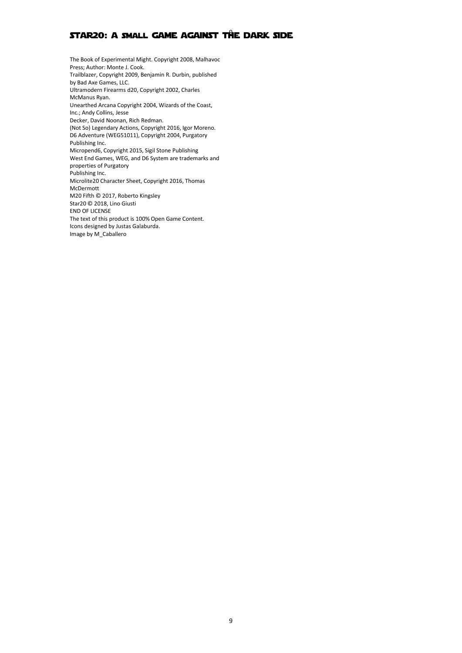The Book of Experimental Might. Copyright 2008, Malhavoc Press; Author: Monte J. Cook. Trailblazer, Copyright 2009, Benjamin R. Durbin, published by Bad Axe Games, LLC. Ultramodern Firearms d20, Copyright 2002, Charles McManus Ryan. Unearthed Arcana Copyright 2004, Wizards of the Coast, Inc.; Andy Collins, Jesse Decker, David Noonan, Rich Redman. (Not So) Legendary Actions, Copyright 2016, Igor Moreno. D6 Adventure (WEG51011), Copyright 2004, Purgatory Publishing Inc. Micropend6, Copyright 2015, Sigil Stone Publishing West End Games, WEG, and D6 System are trademarks and properties of Purgatory Publishing Inc. Microlite20 Character Sheet, Copyright 2016, Thomas McDermott M20 Fifth © 2017, Roberto Kingsley Star20 © 2018, Lino Giusti END OF LICENSE The text of this product is 100% Open Game Content. Icons designed by Justas Galaburda. Image by M\_Caballero